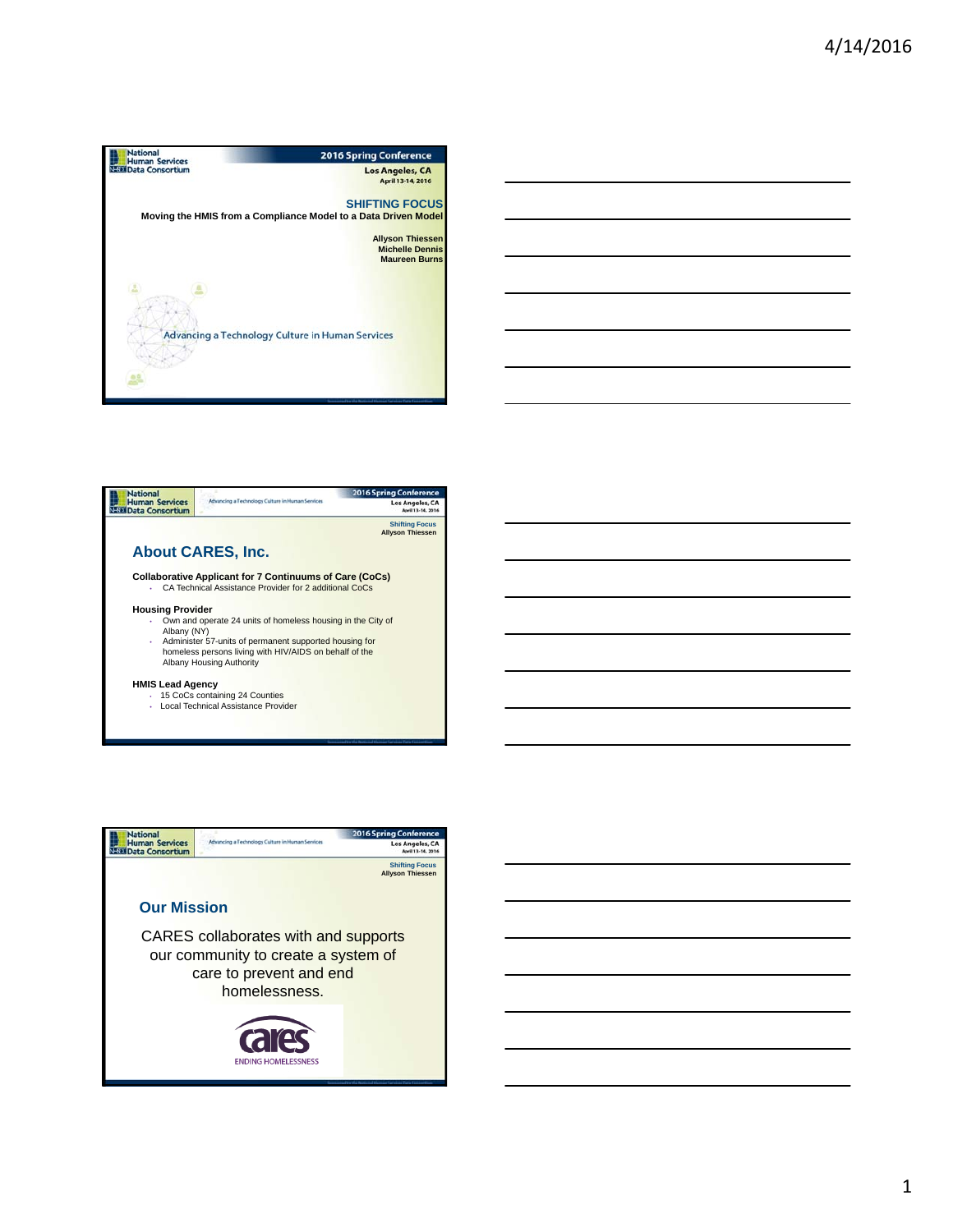





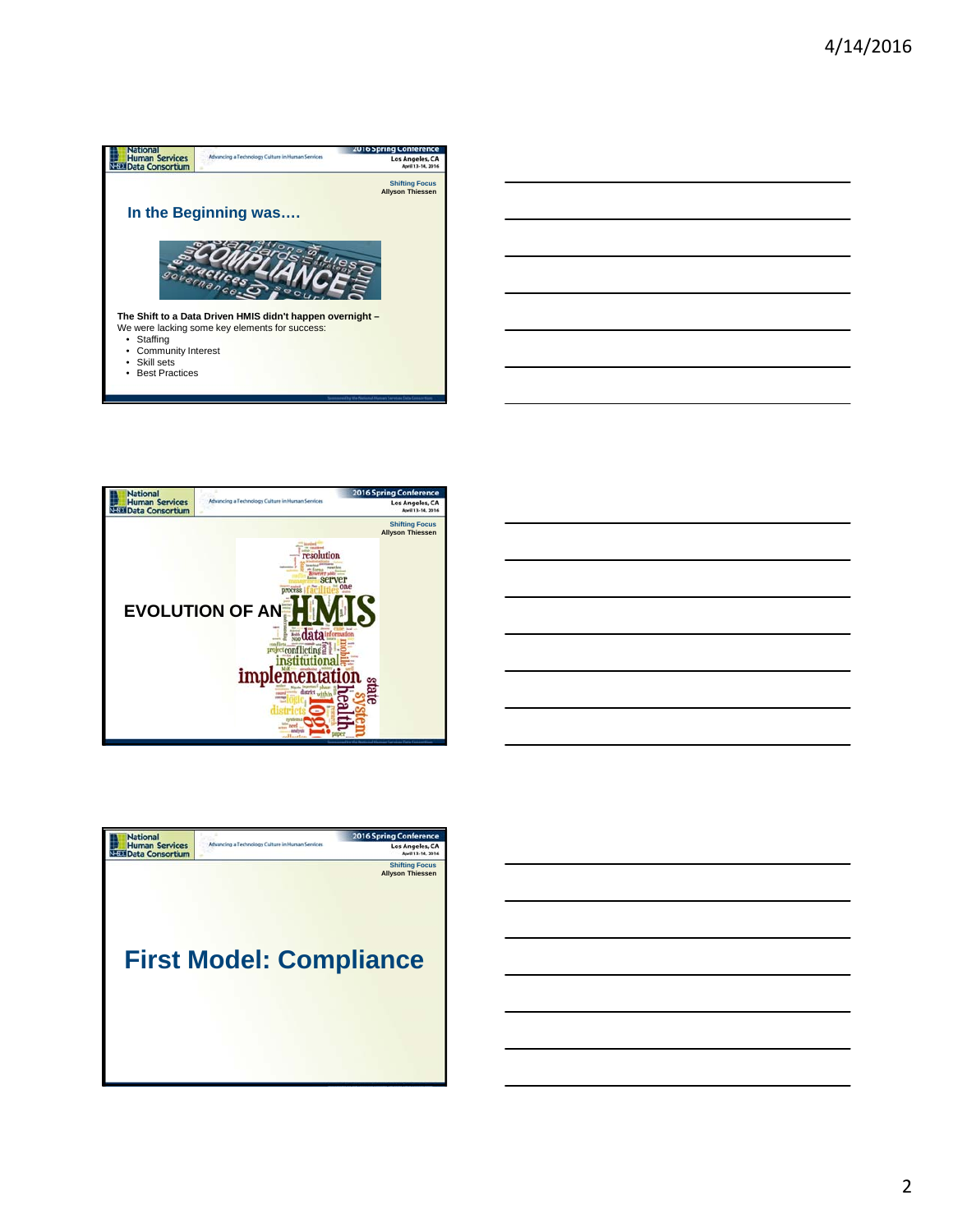





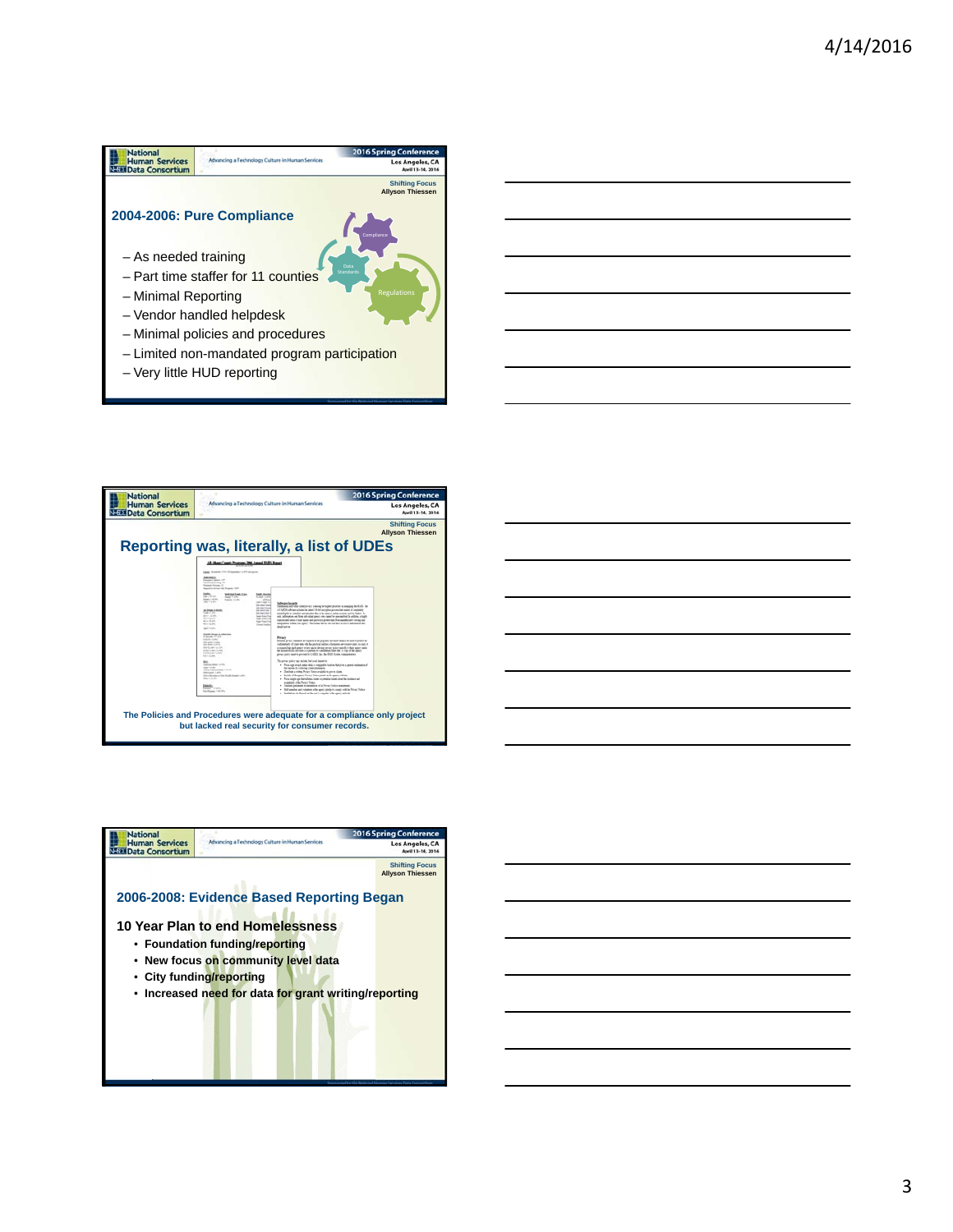## **National**<br> **Human Services**<br> **NEED** Data Consortium 2016 Spring Conf Los Angeles, CA **Shifting Focus Allyson Thiessen 2004-2006: Pure Compliance Compliance** – As needed training – Part time staffer for 11 counties – Minimal Reporting – Vendor handled helpdesk – Minimal policies and procedures – Limited non-mandated program participation – Very little HUD reporting





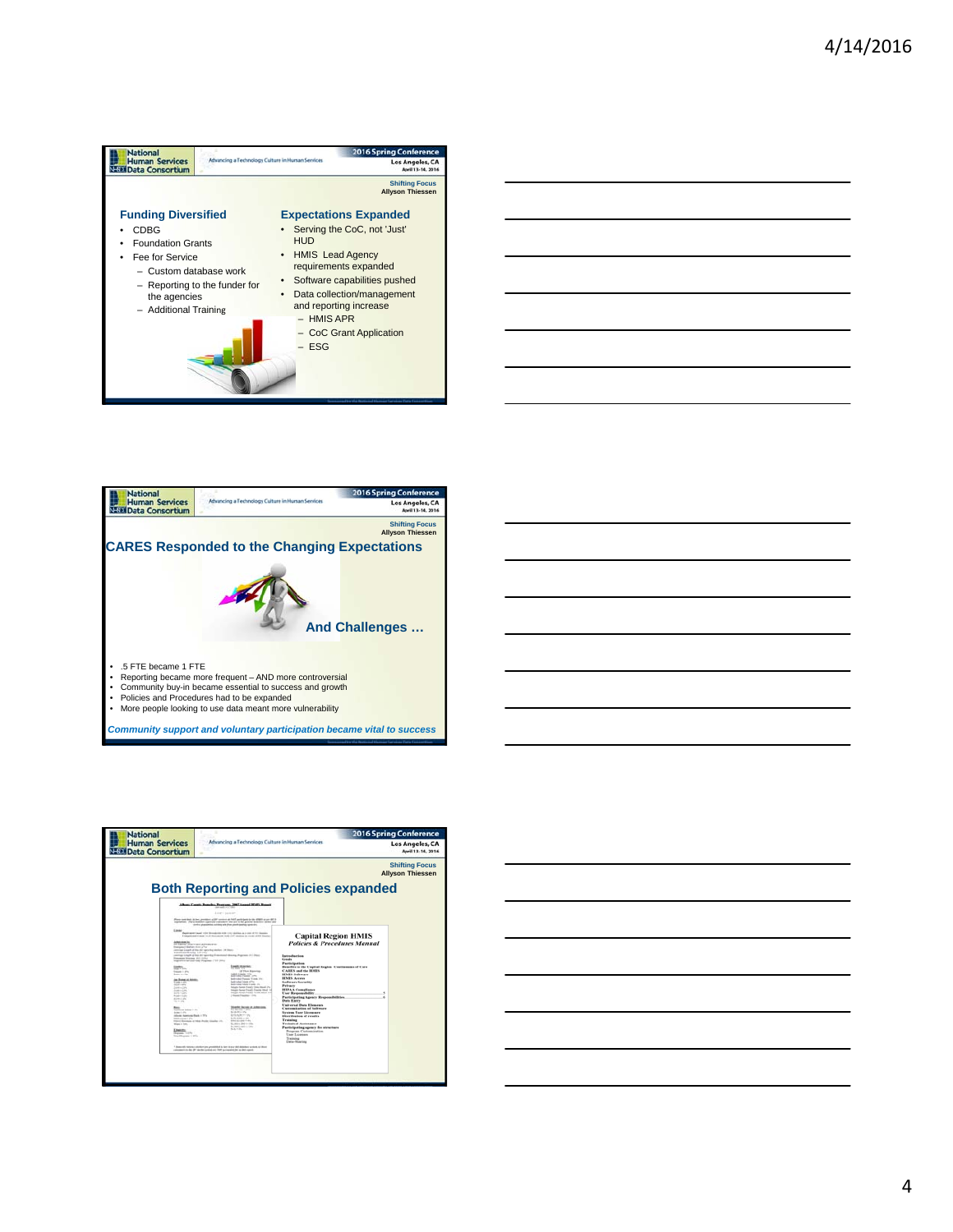

|  | ___ |
|--|-----|
|  |     |
|  |     |





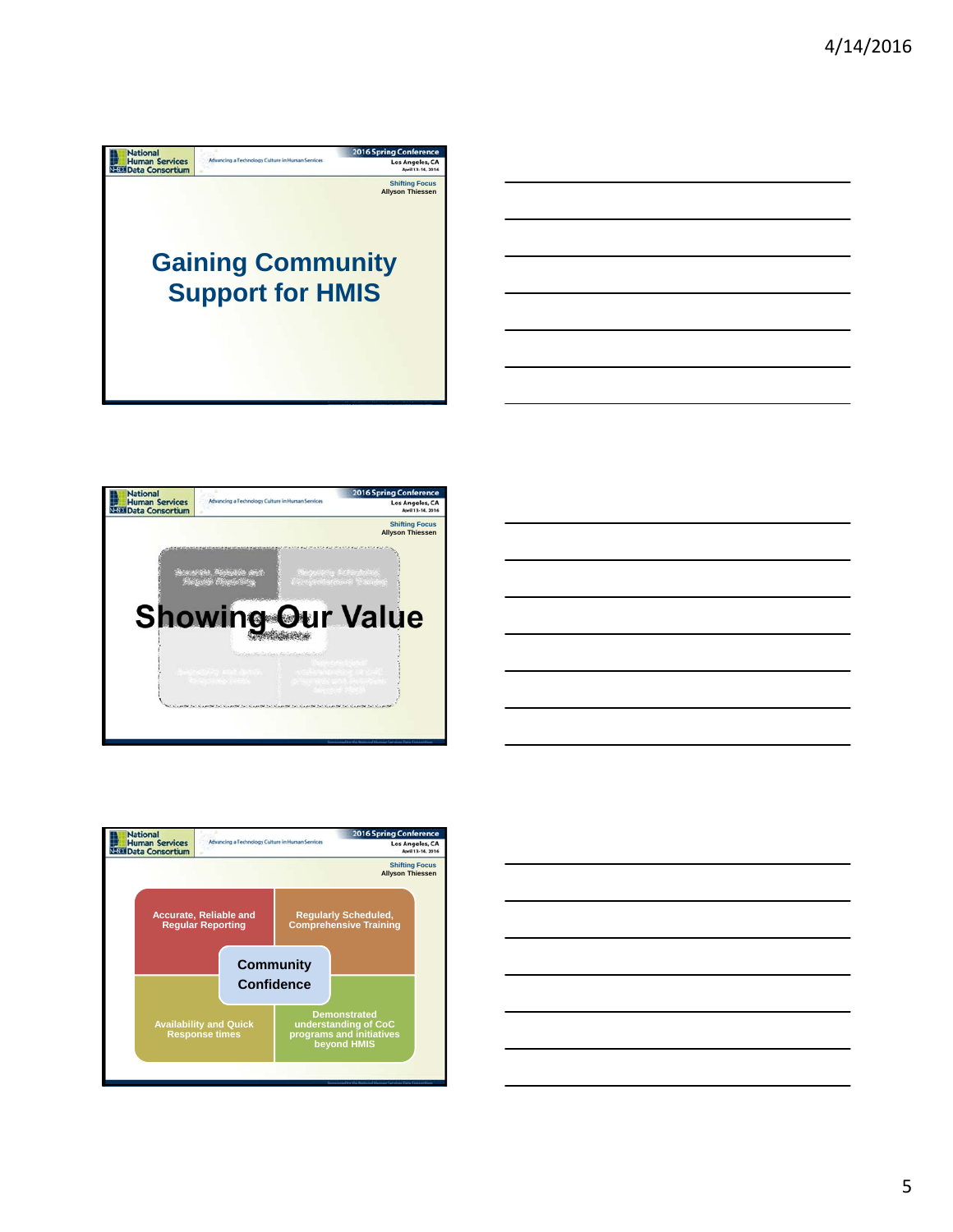







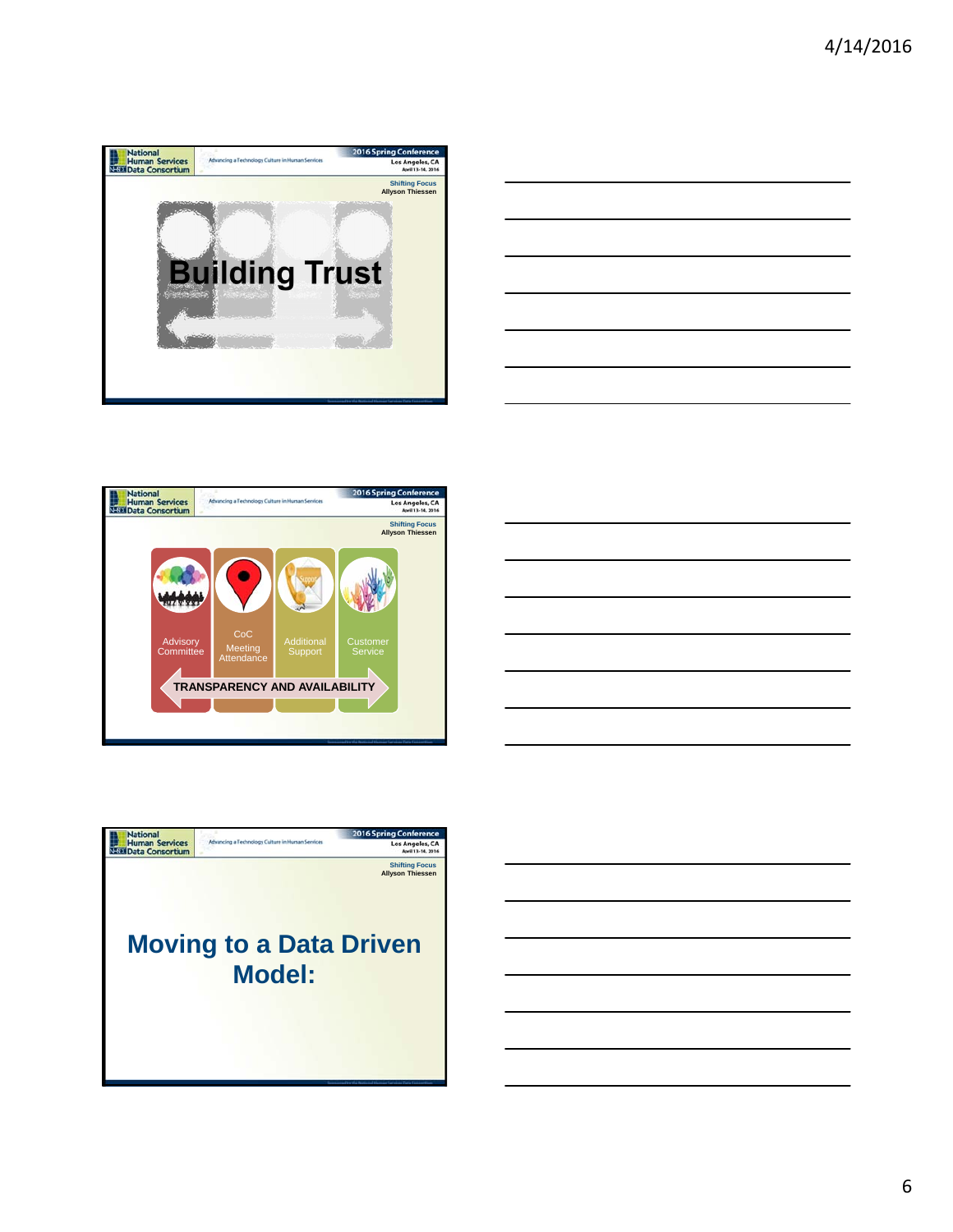







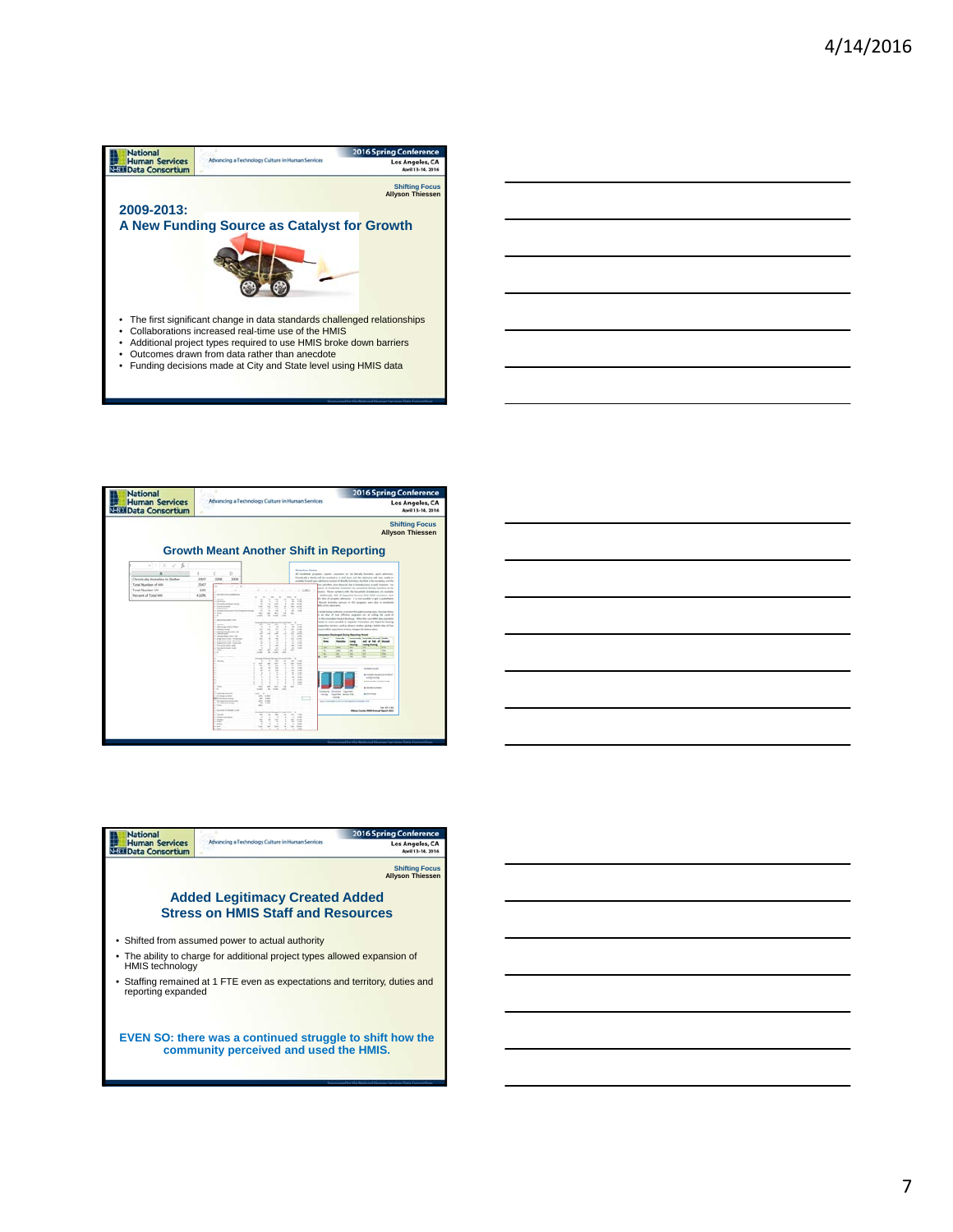







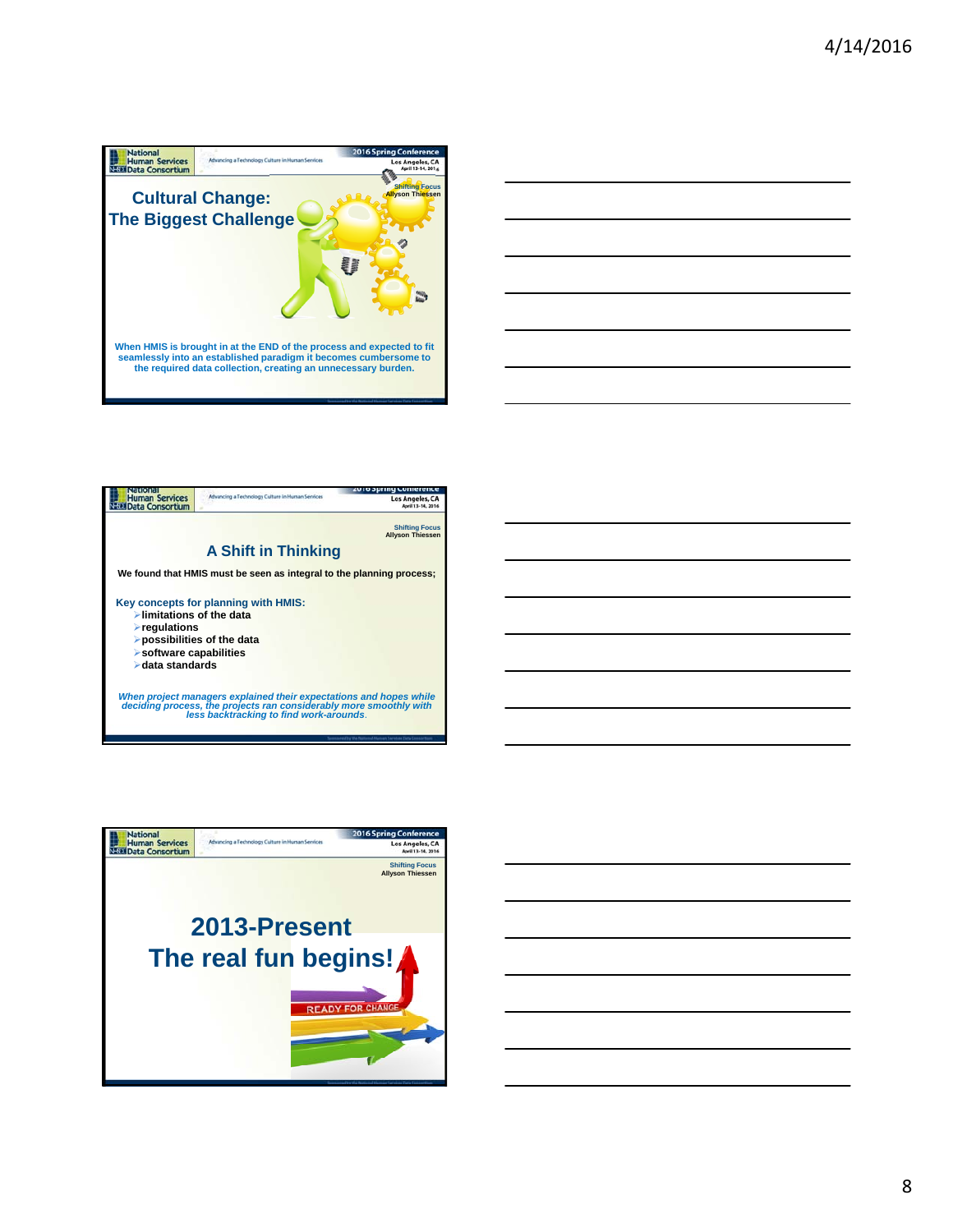





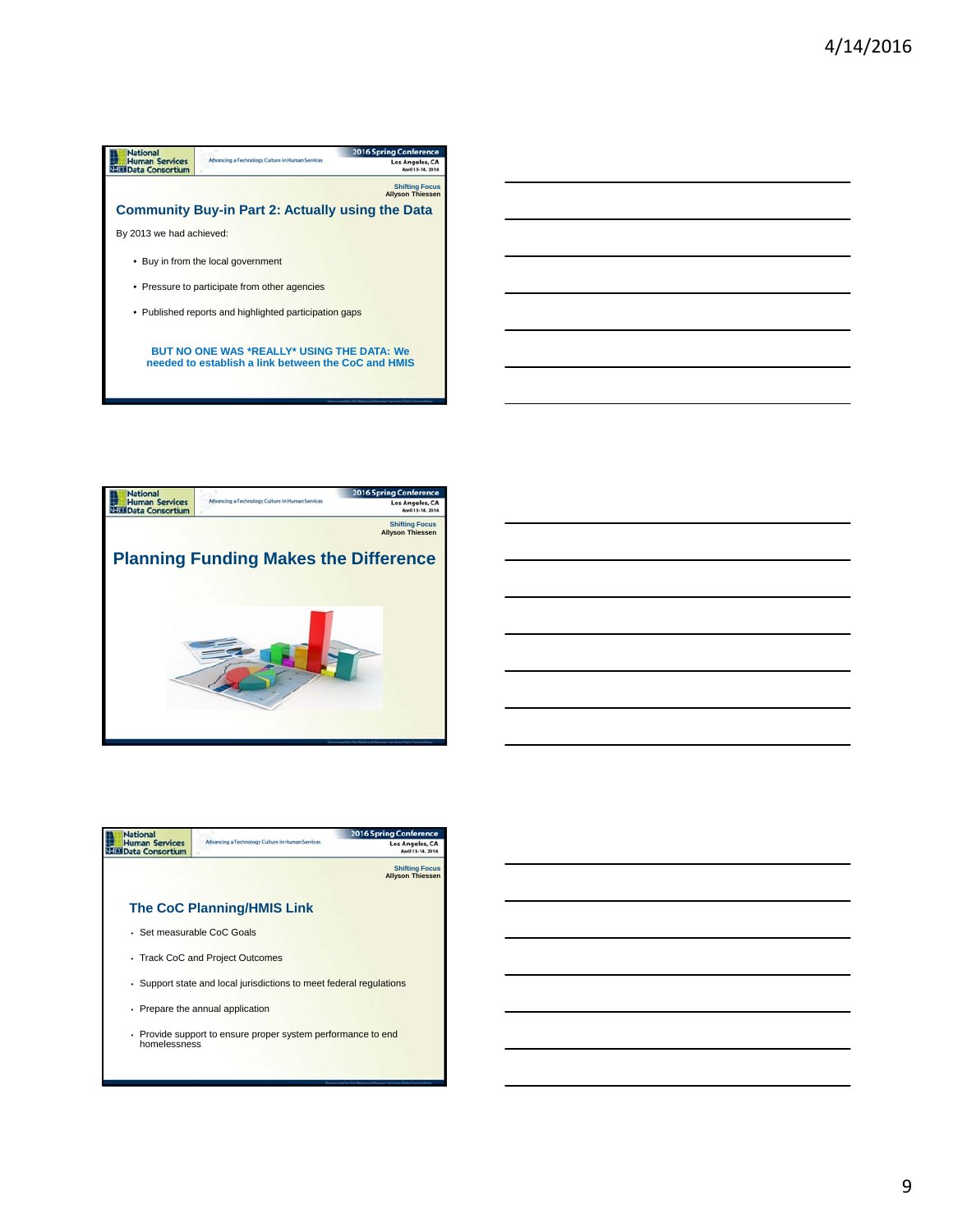





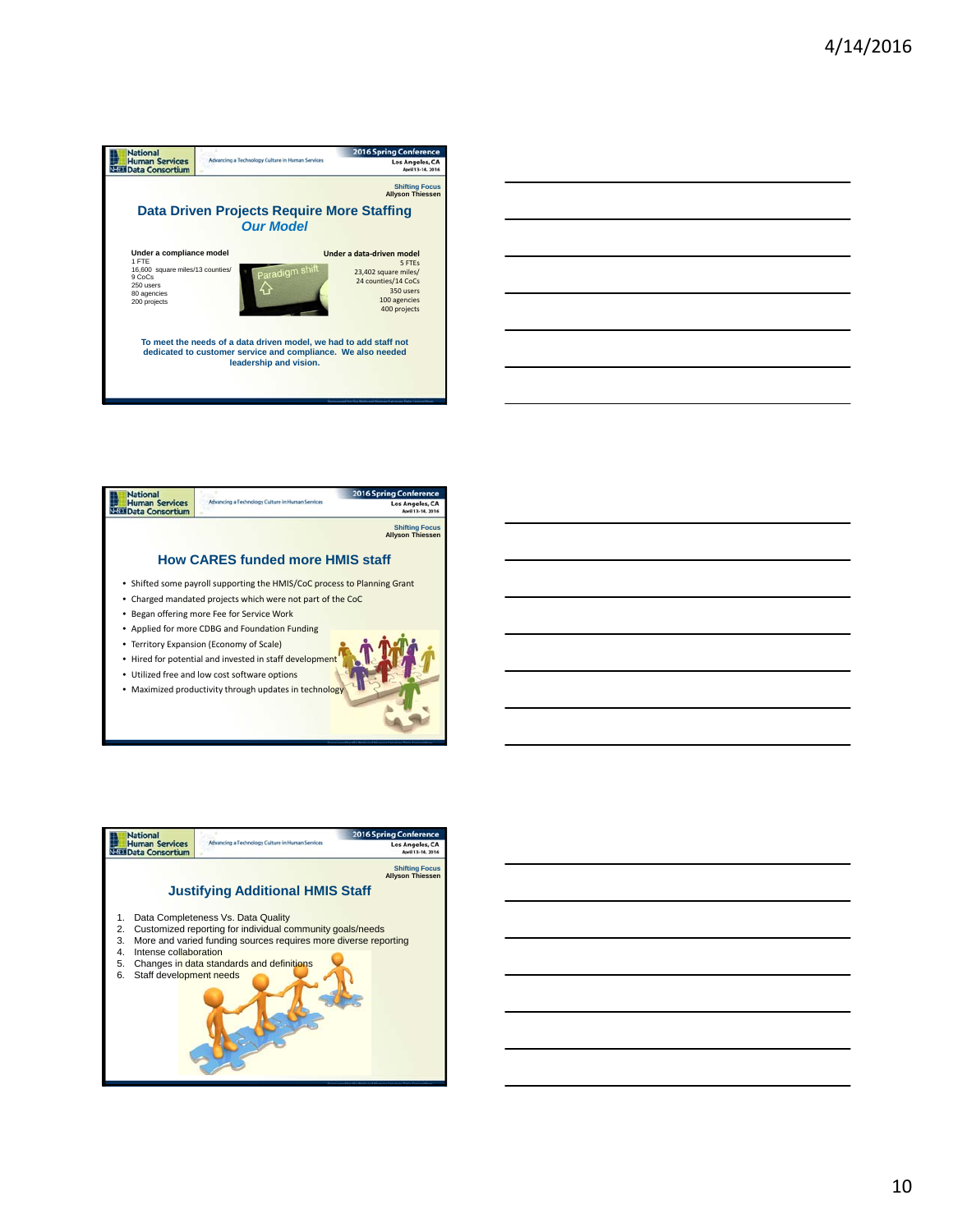

| <b>National</b>                                 |                                                                          | <b>2016 Spring Conference</b>                    |  |
|-------------------------------------------------|--------------------------------------------------------------------------|--------------------------------------------------|--|
| <b>Human Services</b><br><b>Data Consortium</b> | Advancing a Technology Culture in Human Services                         | Los Angeles, CA                                  |  |
|                                                 |                                                                          | <b>Shifting Focus</b><br><b>Allyson Thiessen</b> |  |
|                                                 | <b>How CARES funded more HMIS staff</b>                                  |                                                  |  |
|                                                 | • Shifted some payroll supporting the HMIS/CoC process to Planning Grant |                                                  |  |
|                                                 | • Charged mandated projects which were not part of the CoC               |                                                  |  |
|                                                 | Began offering more Fee for Service Work                                 |                                                  |  |
|                                                 | • Applied for more CDBG and Foundation Funding                           |                                                  |  |
|                                                 | • Territory Expansion (Economy of Scale)                                 |                                                  |  |
|                                                 | . Hired for potential and invested in staff development                  |                                                  |  |
|                                                 | • Utilized free and low cost software options                            |                                                  |  |
|                                                 | Maximized productivity through updates in technology                     |                                                  |  |

-



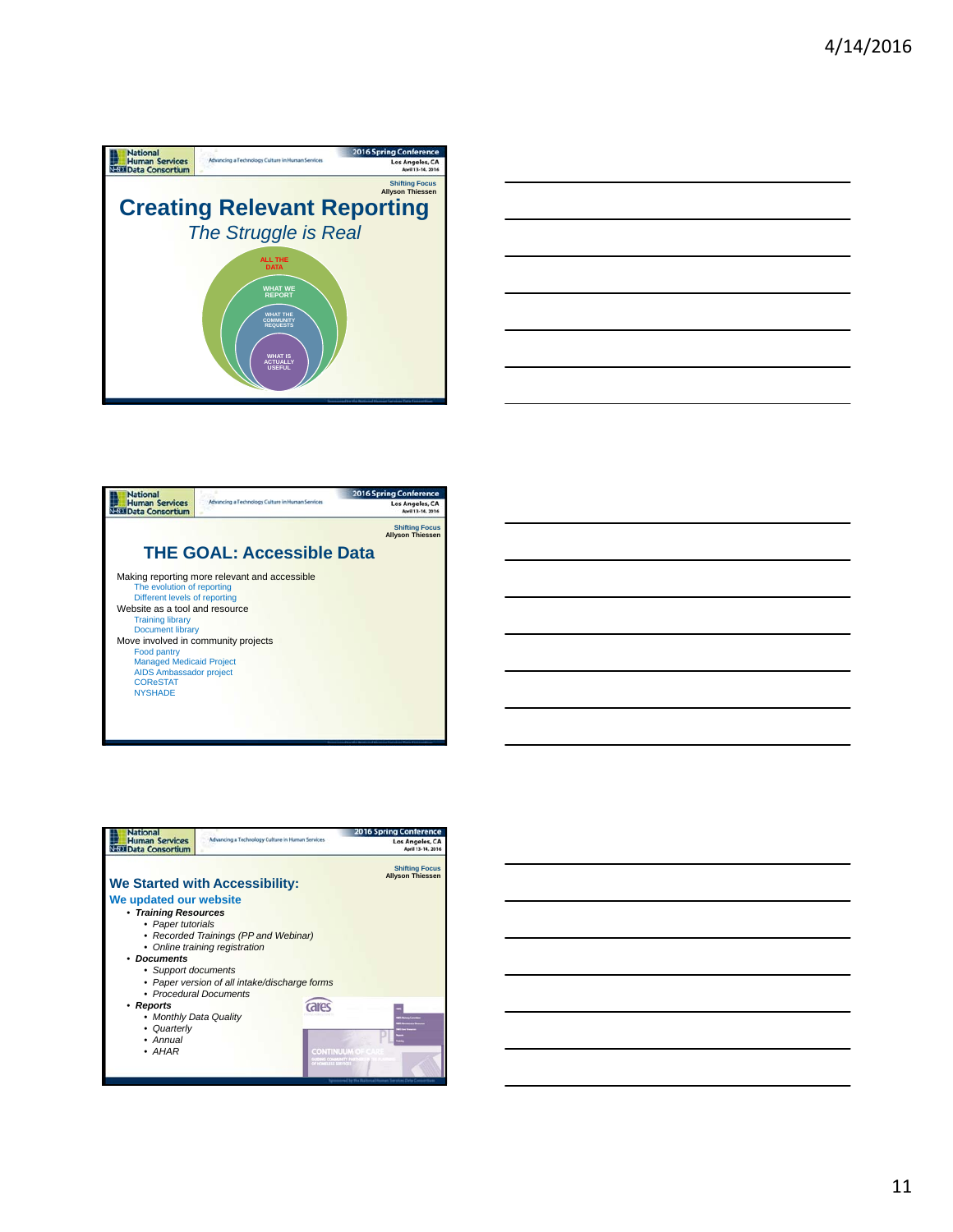







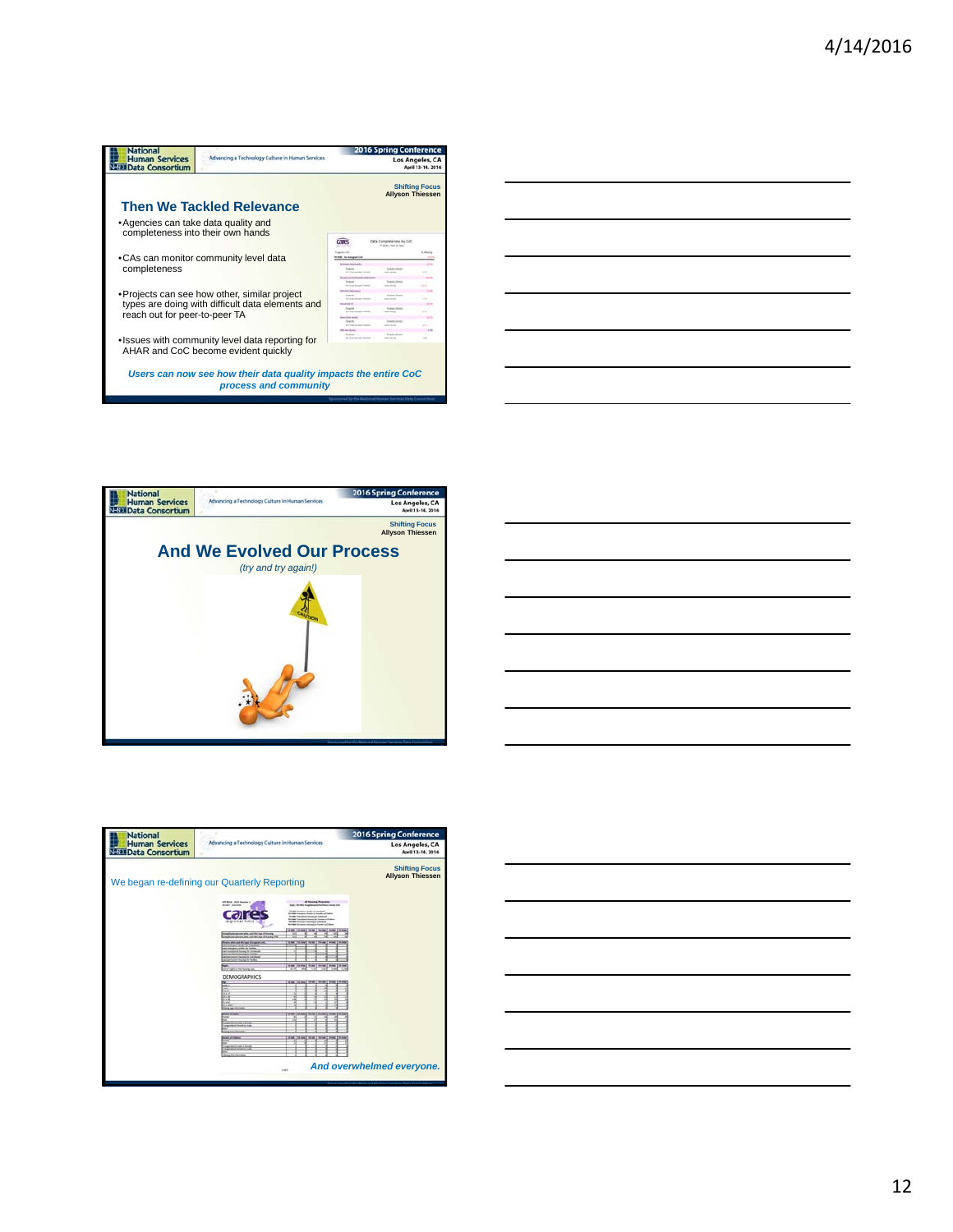| <b>National</b><br><b>Human Services</b><br>Advancing a Technology Culture in Human Services<br><b>EDI Data Consortium</b> |                                                                                                        | ontere<br>Los Angeles, CA<br>April 13-14, 2016                                                                                 |                                          |                                                  |
|----------------------------------------------------------------------------------------------------------------------------|--------------------------------------------------------------------------------------------------------|--------------------------------------------------------------------------------------------------------------------------------|------------------------------------------|--------------------------------------------------|
|                                                                                                                            | <b>Then We Tackled Relevance</b>                                                                       |                                                                                                                                |                                          | <b>Shifting Focus</b><br><b>Allyson Thiessen</b> |
| • Agencies can take data quality and<br>completeness into their own hands                                                  |                                                                                                        | <b>CRES</b>                                                                                                                    | Data Completeness lis Col.               |                                                  |
| completeness                                                                                                               | •CAs can monitor community level data                                                                  |                                                                                                                                | 10 MHz, four or Earn                     | <b>Littleira</b>                                 |
|                                                                                                                            | • Projects can see how other, similar project<br>types are doing with difficult data elements and      |                                                                                                                                |                                          |                                                  |
| reach out for peer-to-peer TA                                                                                              | . Issues with community level data reporting for                                                       | <b>Bone links Scotlan</b><br><b>Seat of</b><br><b>An American Control</b><br><b><i><u>beneficial</u></i></b><br><b>Lake Ad</b> | <b>Transport Ave</b><br><b>Transport</b> |                                                  |
|                                                                                                                            | AHAR and CoC become evident quickly<br>Users can now see how their data quality impacts the entire CoC |                                                                                                                                |                                          |                                                  |
|                                                                                                                            | process and community                                                                                  |                                                                                                                                |                                          |                                                  |

| <u> Andreas Andreas Andreas Andreas Andreas Andreas Andreas Andreas Andreas Andreas Andreas Andreas Andreas Andr</u>  | $\overline{\phantom{a}}$ |
|-----------------------------------------------------------------------------------------------------------------------|--------------------------|
|                                                                                                                       |                          |
|                                                                                                                       |                          |
|                                                                                                                       |                          |
|                                                                                                                       |                          |
| the contract of the contract of the contract of the contract of the contract of                                       |                          |
|                                                                                                                       |                          |
|                                                                                                                       |                          |
|                                                                                                                       |                          |
| <u> 1989 - Johann Stoff, deutscher Stoff, der Stoff, der Stoff, der Stoff, der Stoff, der Stoff, der Stoff, der S</u> |                          |
|                                                                                                                       |                          |
|                                                                                                                       |                          |
|                                                                                                                       |                          |
|                                                                                                                       |                          |
| a series and the series of the series of the series of the series of the series of the series of the series of        |                          |
|                                                                                                                       |                          |
|                                                                                                                       |                          |
|                                                                                                                       |                          |
| ,一个人的人都是一个人的人,我们也不会不会不会。""我们,我们也不会不会不会不会不会不会不会不会。""我们,我们也不会不会不会不会不会不会不会。""我们,我们也                                      |                          |
|                                                                                                                       |                          |
|                                                                                                                       |                          |
|                                                                                                                       |                          |
|                                                                                                                       |                          |
|                                                                                                                       |                          |
|                                                                                                                       |                          |
|                                                                                                                       |                          |
|                                                                                                                       |                          |
| ,我们也不会有什么?""我们的人,我们也不会有什么?""我们的人,我们也不会有什么?""我们的人,我们也不会有什么?""我们的人,我们也不会有什么?""我们的人                                      |                          |







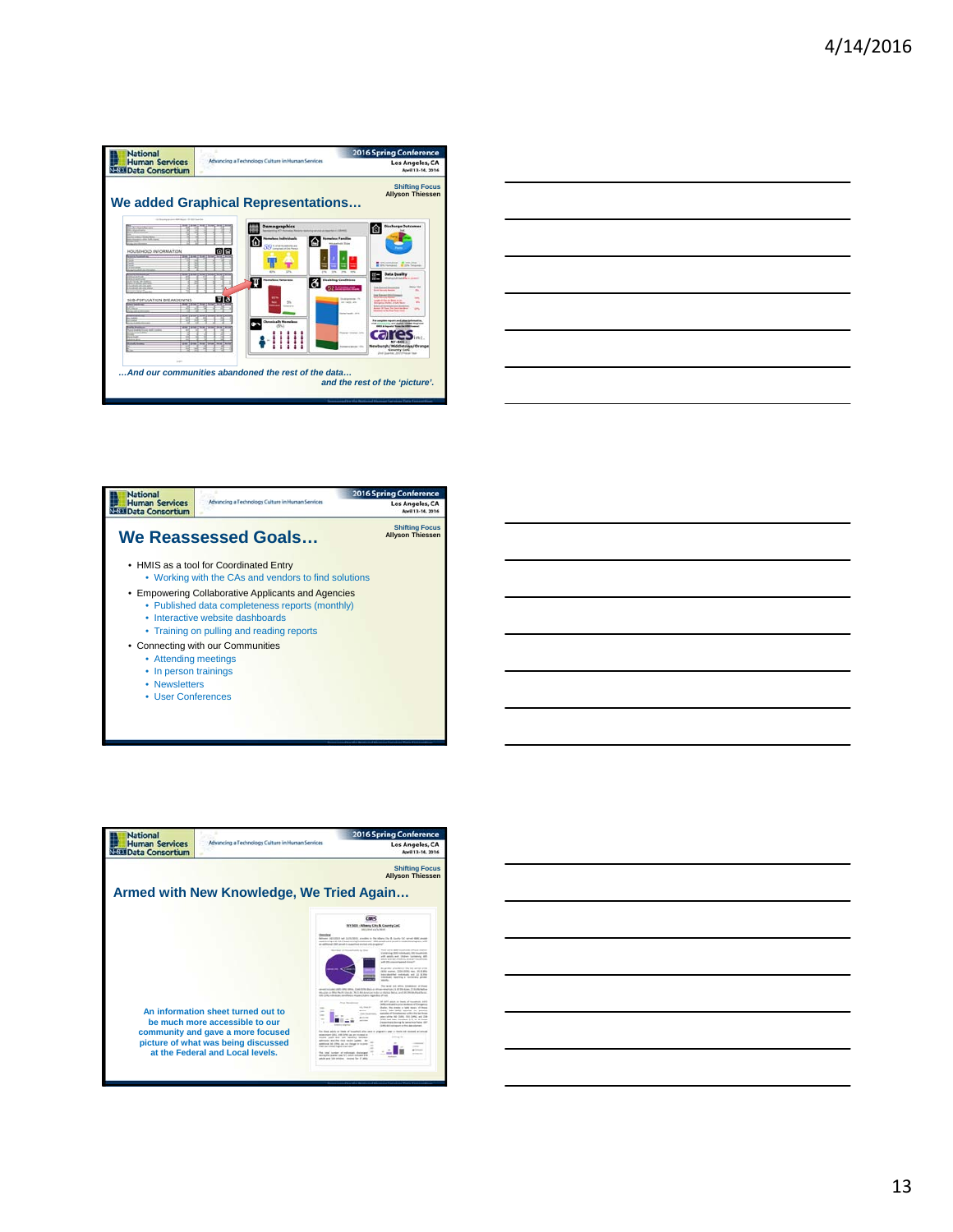| <b>National</b>                                                                                                           |                                                                                                                                                                                                                                                                    | <b>2016 Spring Conference</b>                                                                                                                                                                                                                                                               |  |
|---------------------------------------------------------------------------------------------------------------------------|--------------------------------------------------------------------------------------------------------------------------------------------------------------------------------------------------------------------------------------------------------------------|---------------------------------------------------------------------------------------------------------------------------------------------------------------------------------------------------------------------------------------------------------------------------------------------|--|
| <b>Human Services</b><br><b>NESE Data Consortium</b>                                                                      | Advancing a Technology Culture in Human Services                                                                                                                                                                                                                   | <b>Los Angeles, CA</b><br>April 13-14, 2016                                                                                                                                                                                                                                                 |  |
|                                                                                                                           | We added Graphical Representations                                                                                                                                                                                                                                 | <b>Shifting Focus</b><br><b>Allyson Thiessen</b>                                                                                                                                                                                                                                            |  |
| 10 Source to one difference of the lost of<br><b>TARTIFICATE</b><br><b>All a State State</b><br>HOUSEHOLD INFORMATION<br> | <b>Demographics</b><br><b>A MONTAGE AND CONSULTANTS</b><br><b><i><u>Asmarlano Individuale</u></i></b><br>nations Familian<br>⋒<br>and old Trip<br>SO MEDICINE<br>面鱼<br>275<br><b>AND</b><br>lð.<br><b>Disabling Conditions</b><br><b>Indiana Veterana</b><br>щ<br> | <b>Discharge Outcomes</b><br>⋒<br>PL computer 18 HB (the<br>are contracts. All the Canada<br><b>Data Quality</b><br>Mind to be a first that the contract<br>an Extract Record<br>$\sim$<br>a month forms<br><b><i>Inner Koppart Month</i></b><br><b>SHE</b>                                 |  |
| SUBJECKATION BREAKDOWNS<br>Lines, Sad and<br>$1 - 1$                                                                      | 回回<br><b>Designation On</b><br>5%<br><b>METODOLOGICA</b><br><b><i><u>SHELBARS</u></i></b><br><b>ANTINER PR</b><br><b>Chronically Homeless</b><br>Rowser Henric July<br>And our communities abandoned the rest of the data                                          | Arthur in Norway and<br><b>Sec</b><br><b>Capital Morel A FOR NUM</b><br><b><i><u>International Control</u></i></b><br>$\sim$<br>the print and change 100001 Strain<br>NY-RAY-<br>Newburgh/Middleteam/Orange<br>County CoC<br>Jnd Guarter, 2014 Fried Trac<br>and the rest of the 'picture'. |  |

| <u> 1989 - Johann Stoff, amerikansk politiker (* 1989)</u>                                                             |  |  |
|------------------------------------------------------------------------------------------------------------------------|--|--|
|                                                                                                                        |  |  |
| <u> 1989 - Johann Stoff, deutscher Stoffen und der Stoffen und der Stoffen und der Stoffen und der Stoffen und der</u> |  |  |
| <u> 1989 - Johann Stoff, amerikansk politiker (d. 1989)</u>                                                            |  |  |
|                                                                                                                        |  |  |
|                                                                                                                        |  |  |
|                                                                                                                        |  |  |
|                                                                                                                        |  |  |
|                                                                                                                        |  |  |
|                                                                                                                        |  |  |
|                                                                                                                        |  |  |
| <u> 1989 - Johann Stoff, amerikansk politiker (d. 1989)</u>                                                            |  |  |
|                                                                                                                        |  |  |





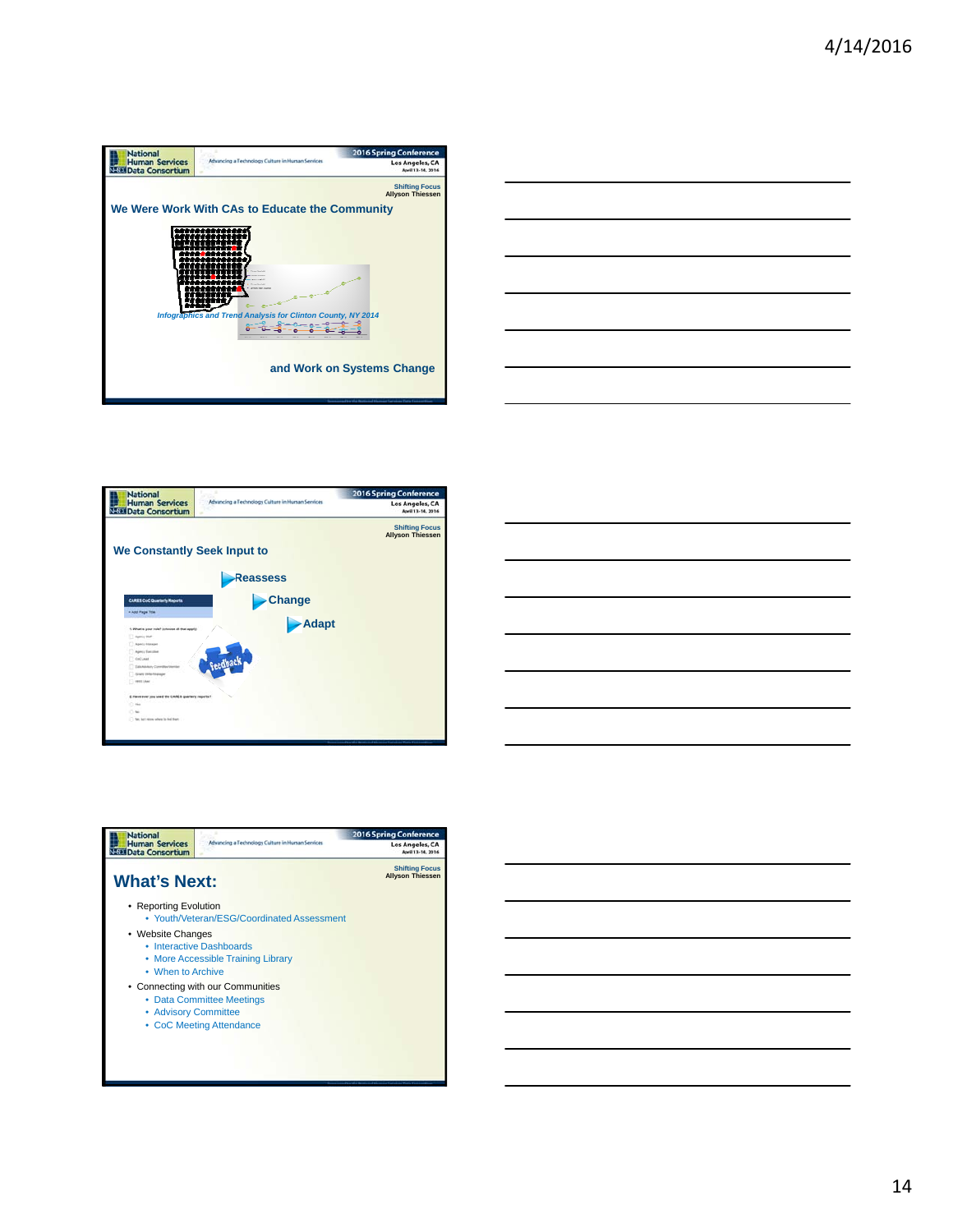